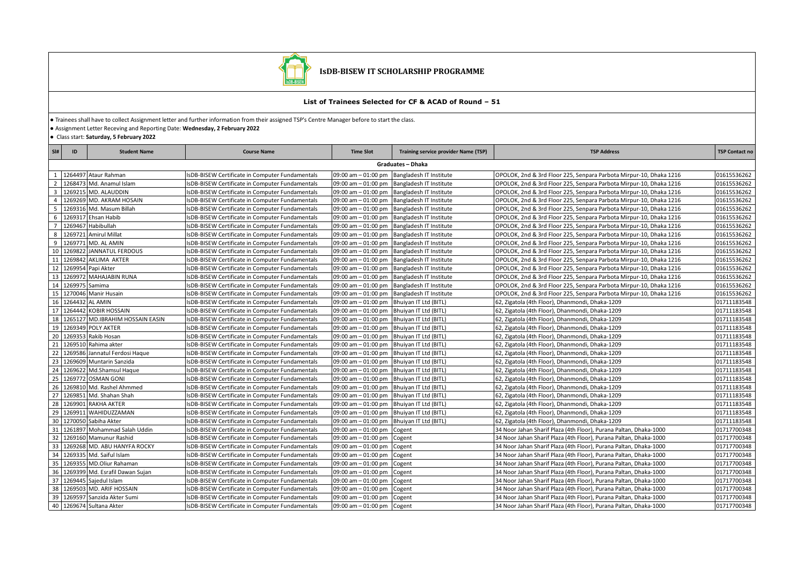

## **IsDB-BISEW IT SCHOLARSHIP PROGRAMME**

## **List of Trainees Selected for CF & ACAD of Round – 51**

● Trainees shall have to collect Assignment letter and further information from their assigned TSP's Centre Manager before to start the class.

● Assignment Letter Receving and Reporting Date: **Wednesday, 2 February 2022**

● Class start: **Saturday, 5 February 2022**

| SI#                     | ID                | <b>Student Name</b>              | <b>Course Name</b>                                     | <b>Time Slot</b>                            | Training service provider Name (TSP)          | <b>TSP Address</b>                                                 | <b>TSP Contact no</b> |  |
|-------------------------|-------------------|----------------------------------|--------------------------------------------------------|---------------------------------------------|-----------------------------------------------|--------------------------------------------------------------------|-----------------------|--|
|                         | Graduates - Dhaka |                                  |                                                        |                                             |                                               |                                                                    |                       |  |
| 1                       |                   | 1264497 Ataur Rahman             | IsDB-BISEW Certificate in Computer Fundamentals        |                                             | 09:00 am - 01:00 pm Bangladesh IT Institute   | OPOLOK, 2nd & 3rd Floor 225, Senpara Parbota Mirpur-10, Dhaka 1216 | 01615536262           |  |
| 2                       |                   | 1268473 Md. Anamul Islam         | sDB-BISEW Certificate in Computer Fundamentals         |                                             | 09:00 am - 01:00 pm Bangladesh IT Institute   | OPOLOK, 2nd & 3rd Floor 225, Senpara Parbota Mirpur-10, Dhaka 1216 | 01615536262           |  |
| $\overline{\mathbf{3}}$ |                   | 1269215 MD. ALAUDDIN             | sDB-BISEW Certificate in Computer Fundamentals         |                                             | 09:00 am - 01:00 pm Bangladesh IT Institute   | OPOLOK, 2nd & 3rd Floor 225, Senpara Parbota Mirpur-10, Dhaka 1216 | 01615536262           |  |
| $\overline{4}$          |                   | 1269269 MD. AKRAM HOSAIN         | sDB-BISEW Certificate in Computer Fundamentals         |                                             | 09:00 am - 01:00 pm   Bangladesh IT Institute | OPOLOK, 2nd & 3rd Floor 225, Senpara Parbota Mirpur-10, Dhaka 1216 | 01615536262           |  |
| -5                      |                   | 1269316 Md. Masum Billah         | IsDB-BISEW Certificate in Computer Fundamentals        |                                             | 09:00 am - 01:00 pm   Bangladesh IT Institute | OPOLOK, 2nd & 3rd Floor 225, Senpara Parbota Mirpur-10, Dhaka 1216 | 01615536262           |  |
| 6                       |                   | 1269317 Ehsan Habib              | IsDB-BISEW Certificate in Computer Fundamentals        |                                             | 09:00 am - 01:00 pm Bangladesh IT Institute   | OPOLOK, 2nd & 3rd Floor 225, Senpara Parbota Mirpur-10, Dhaka 1216 | 01615536262           |  |
| $\overline{7}$          |                   | 1269467 Habibullah               | IsDB-BISEW Certificate in Computer Fundamentals        |                                             | 09:00 am - 01:00 pm   Bangladesh IT Institute | OPOLOK, 2nd & 3rd Floor 225, Senpara Parbota Mirpur-10, Dhaka 1216 | 01615536262           |  |
| 8                       | 1269721           | Amirul Millat                    | sDB-BISEW Certificate in Computer Fundamentals         |                                             | 09:00 am - 01:00 pm Bangladesh IT Institute   | OPOLOK, 2nd & 3rd Floor 225, Senpara Parbota Mirpur-10, Dhaka 1216 | 01615536262           |  |
| 9                       |                   | 1269771 MD. AL AMIN              | IsDB-BISEW Certificate in Computer Fundamentals        |                                             | 09:00 am - 01:00 pm Bangladesh IT Institute   | OPOLOK, 2nd & 3rd Floor 225, Senpara Parbota Mirpur-10, Dhaka 1216 | 01615536262           |  |
| 10                      |                   | 1269822 JANNATUL FERDOUS         | IsDB-BISEW Certificate in Computer Fundamentals        |                                             | 09:00 am - 01:00 pm Bangladesh IT Institute   | OPOLOK, 2nd & 3rd Floor 225, Senpara Parbota Mirpur-10, Dhaka 1216 | 01615536262           |  |
| 11                      | 1269842           | AKLIMA AKTER                     | sDB-BISEW Certificate in Computer Fundamentals         |                                             | 09:00 am - 01:00 pm   Bangladesh IT Institute | OPOLOK, 2nd & 3rd Floor 225, Senpara Parbota Mirpur-10, Dhaka 1216 | 01615536262           |  |
| 12                      |                   | 1269954 Papi Akter               | IsDB-BISEW Certificate in Computer Fundamentals        |                                             | 09:00 am - 01:00 pm Bangladesh IT Institute   | OPOLOK, 2nd & 3rd Floor 225, Senpara Parbota Mirpur-10, Dhaka 1216 | 01615536262           |  |
| 13                      |                   | 1269972 MAHAJABIN RUNA           | IsDB-BISEW Certificate in Computer Fundamentals        |                                             | 09:00 am - 01:00 pm Bangladesh IT Institute   | OPOLOK, 2nd & 3rd Floor 225, Senpara Parbota Mirpur-10, Dhaka 1216 | 01615536262           |  |
|                         | 14 1269975 Samima |                                  | sDB-BISEW Certificate in Computer Fundamentals         |                                             | 09:00 am - 01:00 pm   Bangladesh IT Institute | OPOLOK, 2nd & 3rd Floor 225, Senpara Parbota Mirpur-10, Dhaka 1216 | 01615536262           |  |
| 15                      |                   | 1270046 Manir Husain             | IsDB-BISEW Certificate in Computer Fundamentals        |                                             | 09:00 am - 01:00 pm   Bangladesh IT Institute | OPOLOK, 2nd & 3rd Floor 225, Senpara Parbota Mirpur-10, Dhaka 1216 | 01615536262           |  |
| 16                      | 1264432 AL AMIN   |                                  | IsDB-BISEW Certificate in Computer Fundamentals        | 09:00 am - 01:00 pm   Bhuiyan IT Ltd (BITL) |                                               | 62, Zigatola (4th Floor), Dhanmondi, Dhaka-1209                    | 01711183548           |  |
|                         |                   | 17 1264442 KOBIR HOSSAIN         | IsDB-BISEW Certificate in Computer Fundamentals        | 09:00 am - 01:00 pm Bhuiyan IT Ltd (BITL)   |                                               | 62, Zigatola (4th Floor), Dhanmondi, Dhaka-1209                    | 01711183548           |  |
| 18                      |                   | 1265127 MD.IBRAHIM HOSSAIN EASIN | IsDB-BISEW Certificate in Computer Fundamentals        | 09:00 am - 01:00 pm Bhuiyan IT Ltd (BITL)   |                                               | 62, Zigatola (4th Floor), Dhanmondi, Dhaka-1209                    | 01711183548           |  |
| 19                      |                   | 1269349 POLY AKTER               | IsDB-BISEW Certificate in Computer Fundamentals        | 09:00 am - 01:00 pm   Bhuiyan IT Ltd (BITL) |                                               | 62, Zigatola (4th Floor), Dhanmondi, Dhaka-1209                    | 01711183548           |  |
|                         |                   | 20 1269353 Rakib Hosan           | IsDB-BISEW Certificate in Computer Fundamentals        | 09:00 am - 01:00 pm Bhuiyan IT Ltd (BITL)   |                                               | 62, Zigatola (4th Floor), Dhanmondi, Dhaka-1209                    | 01711183548           |  |
|                         |                   | 21 1269510 Rahima akter          | IsDB-BISEW Certificate in Computer Fundamentals        | 09:00 am - 01:00 pm Bhuiyan IT Ltd (BITL)   |                                               | 62, Zigatola (4th Floor), Dhanmondi, Dhaka-1209                    | 01711183548           |  |
| 22                      |                   | 1269586 Jannatul Ferdosi Haque   | IsDB-BISEW Certificate in Computer Fundamentals        | 09:00 am - 01:00 pm   Bhuiyan IT Ltd (BITL) |                                               | 62, Zigatola (4th Floor), Dhanmondi, Dhaka-1209                    | 01711183548           |  |
| 23                      |                   | 1269609 Muntarin Sanzida         | IsDB-BISEW Certificate in Computer Fundamentals        | 09:00 am - 01:00 pm   Bhuiyan IT Ltd (BITL) |                                               | 62, Zigatola (4th Floor), Dhanmondi, Dhaka-1209                    | 01711183548           |  |
| 24                      |                   | 1269622 Md.Shamsul Haque         | IsDB-BISEW Certificate in Computer Fundamentals        | 09:00 am - 01:00 pm Bhuiyan IT Ltd (BITL)   |                                               | 62, Zigatola (4th Floor), Dhanmondi, Dhaka-1209                    | 01711183548           |  |
| 25                      |                   | 1269772 OSMAN GONI               | IsDB-BISEW Certificate in Computer Fundamentals        | 09:00 am - 01:00 pm Bhuiyan IT Ltd (BITL)   |                                               | 62, Zigatola (4th Floor), Dhanmondi, Dhaka-1209                    | 01711183548           |  |
| 26                      |                   | 1269810 Md. Rashel Ahmmed        | sDB-BISEW Certificate in Computer Fundamentals         | 09:00 am - 01:00 pm Bhuiyan IT Ltd (BITL)   |                                               | 62, Zigatola (4th Floor), Dhanmondi, Dhaka-1209                    | 01711183548           |  |
| 27                      |                   | 1269851 Md. Shahan Shah          | sDB-BISEW Certificate in Computer Fundamentals         | 09:00 am - 01:00 pm   Bhuiyan IT Ltd (BITL) |                                               | 62, Zigatola (4th Floor), Dhanmondi, Dhaka-1209                    | 01711183548           |  |
| 28                      |                   | 1269901 RAKHA AKTER              | sDB-BISEW Certificate in Computer Fundamentals         | 09:00 am - 01:00 pm Bhuiyan IT Ltd (BITL)   |                                               | 62, Zigatola (4th Floor), Dhanmondi, Dhaka-1209                    | 01711183548           |  |
| 29                      |                   | 1269911 WAHIDUZZAMAN             | sDB-BISEW Certificate in Computer Fundamentals         | 09:00 am - 01:00 pm Bhuiyan IT Ltd (BITL)   |                                               | 62, Zigatola (4th Floor), Dhanmondi, Dhaka-1209                    | 01711183548           |  |
| 30 <sup>1</sup>         |                   | 1270050 Sabiha Akter             | sDB-BISEW Certificate in Computer Fundamentals         | 09:00 am - 01:00 pm   Bhuiyan IT Ltd (BITL) |                                               | 62, Zigatola (4th Floor), Dhanmondi, Dhaka-1209                    | 01711183548           |  |
| 31                      | 1261897           | Mohammad Salah Uddin             | sDB-BISEW Certificate in Computer Fundamentals         | 09:00 am $-$ 01:00 pm                       | Cogent                                        | 34 Noor Jahan Sharif Plaza (4th Floor), Purana Paltan, Dhaka-1000  | 01717700348           |  |
| 32                      |                   | 1269160 Mamunur Rashid           | IsDB-BISEW Certificate in Computer Fundamentals        | 09:00 am - 01:00 pm Cogent                  |                                               | 34 Noor Jahan Sharif Plaza (4th Floor), Purana Paltan, Dhaka-1000  | 01717700348           |  |
|                         |                   | 33 1269268 MD. ABU HANYFA ROCKY  | sDB-BISEW Certificate in Computer Fundamentals         | 09:00 am - 01:00 pm Cogent                  |                                               | 34 Noor Jahan Sharif Plaza (4th Floor), Purana Paltan, Dhaka-1000  | 01717700348           |  |
| 34                      |                   | 1269335 Md. Saiful Islam         | sDB-BISEW Certificate in Computer Fundamentals         | 09:00 am - 01:00 pm Cogent                  |                                               | 34 Noor Jahan Sharif Plaza (4th Floor), Purana Paltan, Dhaka-1000  | 01717700348           |  |
| 35                      |                   | 1269355 MD.Oliur Rahaman         | IsDB-BISEW Certificate in Computer Fundamentals        | 09:00 am - 01:00 pm                         | Cogent                                        | 34 Noor Jahan Sharif Plaza (4th Floor), Purana Paltan, Dhaka-1000  | 01717700348           |  |
| 36                      |                   | 1269399 Md. Esrafil Dawan Sujan  | IsDB-BISEW Certificate in Computer Fundamentals        | 09:00 am - 01:00 pm Cogent                  |                                               | 34 Noor Jahan Sharif Plaza (4th Floor), Purana Paltan, Dhaka-1000  | 01717700348           |  |
| 37                      |                   | 1269445 Sajedul Islam            | sDB-BISEW Certificate in Computer Fundamentals         | $09:00$ am $-01:00$ pm                      | Cogent                                        | 34 Noor Jahan Sharif Plaza (4th Floor), Purana Paltan, Dhaka-1000  | 01717700348           |  |
| 38                      |                   | 1269503 MD. ARIF HOSSAIN         | <b>ISDB-BISEW Certificate in Computer Fundamentals</b> | 09:00 am - 01:00 pm Cogent                  |                                               | 34 Noor Jahan Sharif Plaza (4th Floor), Purana Paltan, Dhaka-1000  | 01717700348           |  |
| 39                      |                   | 1269597 Sanzida Akter Sumi       | sDB-BISEW Certificate in Computer Fundamentals         | 09:00 am - 01:00 pm Cogent                  |                                               | 34 Noor Jahan Sharif Plaza (4th Floor), Purana Paltan, Dhaka-1000  | 01717700348           |  |
|                         |                   | 40 1269674 Sultana Akter         | IsDB-BISEW Certificate in Computer Fundamentals        | 09:00 am - 01:00 pm Cogent                  |                                               | 34 Noor Jahan Sharif Plaza (4th Floor), Purana Paltan, Dhaka-1000  | 01717700348           |  |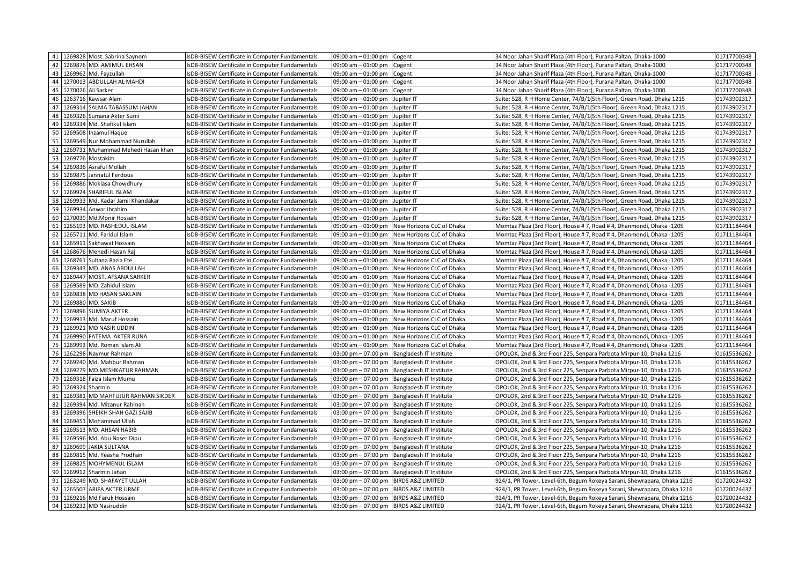|                       | 41 1269828 Most. Sabrina Saynom    | IsDB-BISEW Certificate in Computer Fundamentals | 09:00 am - 01:00 pm Cogent              |                                               | 34 Noor Jahan Sharif Plaza (4th Floor), Purana Paltan, Dhaka-1000       | 01717700348 |
|-----------------------|------------------------------------|-------------------------------------------------|-----------------------------------------|-----------------------------------------------|-------------------------------------------------------------------------|-------------|
| 42                    | 1269876 MD. AMIMUL EHSAN           | sDB-BISEW Certificate in Computer Fundamentals  | 09:00 am - 01:00 pm                     | Cogent                                        | 34 Noor Jahan Sharif Plaza (4th Floor), Purana Paltan, Dhaka-1000       | 01717700348 |
| 43                    | 1269962 Md. Fayzullah              | sDB-BISEW Certificate in Computer Fundamentals  | 09:00 am - 01:00 pm                     | Cogent                                        | 34 Noor Jahan Sharif Plaza (4th Floor), Purana Paltan, Dhaka-1000       | 01717700348 |
| 44                    | 1270013 ABDULLAH AL MAHDI          | sDB-BISEW Certificate in Computer Fundamentals  | 09:00 am - 01:00 pm                     | Cogent                                        | 34 Noor Jahan Sharif Plaza (4th Floor), Purana Paltan, Dhaka-1000       | 01717700348 |
| 45                    | 1270026 Ali Sarker                 | IsDB-BISEW Certificate in Computer Fundamentals | 09:00 am - 01:00 pm                     | Cogent                                        | 34 Noor Jahan Sharif Plaza (4th Floor), Purana Paltan, Dhaka-1000       | 01717700348 |
| 46                    | 1263716 Kawsar Alam                | IsDB-BISEW Certificate in Computer Fundamentals | 09:00 am - 01:00 pm                     | Jupiter IT                                    | Suite: 528, R H Home Center, 74/B/1(5th Floor), Green Road, Dhaka 1215  | 01743902317 |
| 47                    | 1269314 SALMA TABASSUM JAHAN       | sDB-BISEW Certificate in Computer Fundamentals  | 09:00 am - 01:00 pm                     | Jupiter IT                                    | Suite: 528, R H Home Center, 74/B/1(5th Floor), Green Road, Dhaka 1215  | 01743902317 |
| 48                    | 1269326 Sumana Akter Sumi          | sDB-BISEW Certificate in Computer Fundamentals  | 09:00 am - 01:00 pm                     | Jupiter IT                                    | Suite: 528, R H Home Center, 74/B/1(5th Floor), Green Road, Dhaka 1215  | 01743902317 |
| 49                    | 1269334 Md. Shafikul Islam         | sDB-BISEW Certificate in Computer Fundamentals  | 09:00 am - 01:00 pm                     | Jupiter IT                                    | Suite: 528, R H Home Center, 74/B/1(5th Floor), Green Road, Dhaka 1215  | 01743902317 |
| 50                    | 1269508 Inzamul Haque              | IsDB-BISEW Certificate in Computer Fundamentals | 09:00 am - 01:00 pm                     | Jupiter IT                                    | Suite: 528, R H Home Center, 74/B/1(5th Floor), Green Road, Dhaka 1215  | 01743902317 |
| 51                    | 1269549 Nur Mohammad Nurullah      | sDB-BISEW Certificate in Computer Fundamentals  | 09:00 am - 01:00 pm                     | Jupiter IT                                    | Suite: 528, R H Home Center, 74/B/1(5th Floor), Green Road, Dhaka 1215  | 01743902317 |
| 52                    | 1269731 Muhammad Mehedi Hasan khan | IsDB-BISEW Certificate in Computer Fundamentals | 09:00 am $-$ 01:00 pm                   | Jupiter IT                                    | Suite: 528, R H Home Center, 74/B/1(5th Floor), Green Road, Dhaka 1215  | 01743902317 |
| 53                    | 1269776 Mostakim                   | sDB-BISEW Certificate in Computer Fundamentals  | $09:00$ am $-01:00$ pm                  | Jupiter IT                                    | Suite: 528, R H Home Center, 74/B/1(5th Floor), Green Road, Dhaka 1215  | 01743902317 |
| 54                    | 1269836 Asraful Mollah             | sDB-BISEW Certificate in Computer Fundamentals  | 09:00 am - 01:00 pm                     | Jupiter IT                                    | Suite: 528, R H Home Center, 74/B/1(5th Floor), Green Road, Dhaka 1215  | 01743902317 |
| 55                    | 1269875 Jannatul Ferdous           | IsDB-BISEW Certificate in Computer Fundamentals | $09:00$ am $-01:00$ pm                  | Jupiter IT                                    | Suite: 528, R H Home Center, 74/B/1(5th Floor), Green Road, Dhaka 1215  | 01743902317 |
| 56                    | 1269886 Moklasa Chowdhury          | IsDB-BISEW Certificate in Computer Fundamentals | 09:00 am - 01:00 pm                     | Jupiter IT                                    | Suite: 528, R H Home Center, 74/B/1(5th Floor), Green Road, Dhaka 1215  | 01743902317 |
| 57                    | 1269924 SHARIFUL ISLAM             | sDB-BISEW Certificate in Computer Fundamentals  | 09:00 am - 01:00 pm                     | Jupiter IT                                    | Suite: 528, R H Home Center, 74/B/1(5th Floor), Green Road, Dhaka 1215  | 01743902317 |
| 58                    | 1269933 Md. Kadar Jamil Khandakar  | IsDB-BISEW Certificate in Computer Fundamentals | $09:00$ am $-01:00$ pm                  | Jupiter IT                                    | Suite: 528, R H Home Center, 74/B/1(5th Floor), Green Road, Dhaka 1215  | 01743902317 |
| 59                    | 1269934 Anwar Ibrahim              | IsDB-BISEW Certificate in Computer Fundamentals | 09:00 am - 01:00 pm                     | Jupiter IT                                    | Suite: 528, R H Home Center, 74/B/1(5th Floor), Green Road, Dhaka 1215  | 01743902317 |
| 60                    | 1270039 Md.Monir Hossain           | sDB-BISEW Certificate in Computer Fundamentals  | 09:00 am $-$ 01:00 pm                   | Jupiter IT                                    | Suite: 528, R H Home Center, 74/B/1(5th Floor), Green Road, Dhaka 1215  | 01743902317 |
| 61                    | 1265193 MD. RASHEDUL ISLAM         | sDB-BISEW Certificate in Computer Fundamentals  | 09:00 am - 01:00 pm                     | New Horizons CLC of Dhaka                     | Momtaz Plaza (3rd Floor), House #7, Road #4, Dhanmondi, Dhaka -1205     | 01711184464 |
| 62                    | 1265711 Md. Faridul Islam          | sDB-BISEW Certificate in Computer Fundamentals  | 09:00 am - 01:00 pm                     | New Horizons CLC of Dhaka                     | Momtaz Plaza (3rd Floor), House #7, Road #4, Dhanmondi, Dhaka -1205     | 01711184464 |
| 63                    | 1265911 Sakhawat Hossain           | IsDB-BISEW Certificate in Computer Fundamentals | 09:00 am - 01:00 pm                     | New Horizons CLC of Dhaka                     | Momtaz Plaza (3rd Floor), House #7, Road #4, Dhanmondi, Dhaka -1205     | 01711184464 |
| 64                    | 1268676 Mehedi Hasan Raj           | sDB-BISEW Certificate in Computer Fundamentals  | 09:00 am - 01:00 pm                     | New Horizons CLC of Dhaka                     | Momtaz Plaza (3rd Floor), House #7, Road #4, Dhanmondi, Dhaka -1205     | 01711184464 |
| 65                    | 1268761 Sultana Razia Ete          | IsDB-BISEW Certificate in Computer Fundamentals | 09:00 am $-$ 01:00 pm                   | New Horizons CLC of Dhaka                     | Momtaz Plaza (3rd Floor), House #7, Road #4, Dhanmondi, Dhaka -1205     | 01711184464 |
| 66                    | 1269343 MD. ANAS ABDULLAH          | sDB-BISEW Certificate in Computer Fundamentals  | 09:00 am - 01:00 pm                     | New Horizons CLC of Dhaka                     | Momtaz Plaza (3rd Floor), House #7, Road #4, Dhanmondi, Dhaka -1205     | 01711184464 |
| 67                    | 1269447 MOST. AFSANA SARKER        | IsDB-BISEW Certificate in Computer Fundamentals | 09:00 am - 01:00 pm                     | New Horizons CLC of Dhaka                     | Momtaz Plaza (3rd Floor), House #7, Road #4, Dhanmondi, Dhaka -1205     | 01711184464 |
| 68                    | 1269589 MD. Zahidul Islam          | sDB-BISEW Certificate in Computer Fundamentals  | $09:00$ am $-01:00$ pm                  | New Horizons CLC of Dhaka                     | Momtaz Plaza (3rd Floor), House #7, Road #4, Dhanmondi, Dhaka -1205     | 01711184464 |
| 69                    | 1269838 MD HASAN SAKLAIN           | IsDB-BISEW Certificate in Computer Fundamentals | 09:00 am - 01:00 pm                     | New Horizons CLC of Dhaka                     | Momtaz Plaza (3rd Floor), House #7, Road #4, Dhanmondi, Dhaka -1205     | 01711184464 |
| 70                    | 1269880 MD. SAKIB                  | sDB-BISEW Certificate in Computer Fundamentals  | 09:00 am - 01:00 pm                     | New Horizons CLC of Dhaka                     | Momtaz Plaza (3rd Floor), House # 7, Road # 4, Dhanmondi, Dhaka -1205   | 01711184464 |
| 71<br>1269896         | <b>SUMIYA AKTER</b>                | IsDB-BISEW Certificate in Computer Fundamentals | $09:00$ am $-01:00$ pm                  | New Horizons CLC of Dhaka                     | Momtaz Plaza (3rd Floor), House #7, Road #4, Dhanmondi, Dhaka -1205     | 01711184464 |
| 72                    | 1269913 Md. Maruf Hossain          | IsDB-BISEW Certificate in Computer Fundamentals | 09:00 am - 01:00 pm                     | New Horizons CLC of Dhaka                     | Momtaz Plaza (3rd Floor), House #7, Road #4, Dhanmondi, Dhaka -1205     | 01711184464 |
| 73                    | 1269921 MD NASIR UDDIN             | sDB-BISEW Certificate in Computer Fundamentals  | 09:00 am - 01:00 pm                     | New Horizons CLC of Dhaka                     | Momtaz Plaza (3rd Floor), House #7, Road #4, Dhanmondi, Dhaka -1205     | 01711184464 |
| 74                    | 1269990 FATEMA AKTER RUNA          | sDB-BISEW Certificate in Computer Fundamentals  |                                         | 09:00 am - 01:00 pm New Horizons CLC of Dhaka | Momtaz Plaza (3rd Floor), House #7, Road #4, Dhanmondi, Dhaka -1205     | 01711184464 |
| 75                    | 1269993 Md. Roman Islam Ali        | sDB-BISEW Certificate in Computer Fundamentals  | 09:00 am - 01:00 pm                     | New Horizons CLC of Dhaka                     | Momtaz Plaza (3rd Floor), House #7, Road #4, Dhanmondi, Dhaka -1205     | 01711184464 |
| 76                    | 1262298 Naymur Rahman              | IsDB-BISEW Certificate in Computer Fundamentals | $03:00 \text{ pm} - 07:00 \text{ pm}$   | Bangladesh IT Institute                       | OPOLOK, 2nd & 3rd Floor 225, Senpara Parbota Mirpur-10, Dhaka 1216      | 01615536262 |
| 77                    | 1269240 Md. Mahbur Rahman          | IsDB-BISEW Certificate in Computer Fundamentals |                                         | 03:00 pm - 07:00 pm Bangladesh IT Institute   | OPOLOK, 2nd & 3rd Floor 225, Senpara Parbota Mirpur-10, Dhaka 1216      | 01615536262 |
| 78                    | 1269279 MD.MESHKATUR RAHMAN        | IsDB-BISEW Certificate in Computer Fundamentals |                                         | 03:00 pm - 07:00 pm Bangladesh IT Institute   | OPOLOK, 2nd & 3rd Floor 225, Senpara Parbota Mirpur-10, Dhaka 1216      | 01615536262 |
| 79                    | 1269318 Faiza Islam Mumu           | sDB-BISEW Certificate in Computer Fundamentals  |                                         | 03:00 pm - 07:00 pm Bangladesh IT Institute   | OPOLOK, 2nd & 3rd Floor 225, Senpara Parbota Mirpur-10, Dhaka 1216      | 01615536262 |
| 80<br>1269324 Sharmin |                                    | IsDB-BISEW Certificate in Computer Fundamentals |                                         | 03:00 pm - 07:00 pm Bangladesh IT Institute   | OPOLOK, 2nd & 3rd Floor 225, Senpara Parbota Mirpur-10, Dhaka 1216      | 01615536262 |
| 81                    | 1269381 MD MAHFUJUR RAHMAN SIKDER  | IsDB-BISEW Certificate in Computer Fundamentals | $03:00 \text{ pm} - 07:00 \text{ pm}$   | Bangladesh IT Institute                       | OPOLOK, 2nd & 3rd Floor 225, Senpara Parbota Mirpur-10, Dhaka 1216      | 01615536262 |
| 82                    | 1269394 Md. Mizanur Rahman         | IsDB-BISEW Certificate in Computer Fundamentals |                                         | 03:00 pm - 07:00 pm Bangladesh IT Institute   | OPOLOK, 2nd & 3rd Floor 225, Senpara Parbota Mirpur-10, Dhaka 1216      | 01615536262 |
| 83                    | 1269396 SHEIKH SHAH GAZI SAJIB     | sDB-BISEW Certificate in Computer Fundamentals  |                                         | 03:00 pm - 07:00 pm Bangladesh IT Institute   | OPOLOK, 2nd & 3rd Floor 225, Senpara Parbota Mirpur-10, Dhaka 1216      | 01615536262 |
| 84                    | 1269451 Mohammad Ullah             | IsDB-BISEW Certificate in Computer Fundamentals |                                         | 03:00 pm - 07:00 pm Bangladesh IT Institute   | OPOLOK, 2nd & 3rd Floor 225, Senpara Parbota Mirpur-10, Dhaka 1216      | 01615536262 |
| 85                    | 1269513 MD. AHSAN HABIB            | IsDB-BISEW Certificate in Computer Fundamentals |                                         | 03:00 pm - 07:00 pm Bangladesh IT Institute   | OPOLOK, 2nd & 3rd Floor 225, Senpara Parbota Mirpur-10, Dhaka 1216      | 01615536262 |
| 86                    | 1269596 Md. Abu Naser Dipu         | sDB-BISEW Certificate in Computer Fundamentals  |                                         | 03:00 pm - 07:00 pm   Bangladesh IT Institute | OPOLOK, 2nd & 3rd Floor 225, Senpara Parbota Mirpur-10, Dhaka 1216      | 01615536262 |
| 87                    | 1269699 JAKIA SULTANA              | IsDB-BISEW Certificate in Computer Fundamentals |                                         | 03:00 pm - 07:00 pm   Bangladesh IT Institute | OPOLOK, 2nd & 3rd Floor 225, Senpara Parbota Mirpur-10, Dhaka 1216      | 01615536262 |
| 88                    | 1269815 Md. Yeasha Prodhan         | sDB-BISEW Certificate in Computer Fundamentals  |                                         | 03:00 pm - 07:00 pm Bangladesh IT Institute   | OPOLOK, 2nd & 3rd Floor 225, Senpara Parbota Mirpur-10, Dhaka 1216      | 01615536262 |
| 89                    | 1269825 MOHYMENUL ISLAM            | IsDB-BISEW Certificate in Computer Fundamentals |                                         | 03:00 pm - 07:00 pm Bangladesh IT Institute   | OPOLOK, 2nd & 3rd Floor 225, Senpara Parbota Mirpur-10, Dhaka 1216      | 01615536262 |
| 90                    | 1269912 Sharmin Jahan              | IsDB-BISEW Certificate in Computer Fundamentals |                                         | 03:00 pm - 07:00 pm Bangladesh IT Institute   | OPOLOK, 2nd & 3rd Floor 225, Senpara Parbota Mirpur-10, Dhaka 1216      | 01615536262 |
| 91                    | 1263249 MD. SHAFAYET ULLAH         | IsDB-BISEW Certificate in Computer Fundamentals | 03:00 pm - 07:00 pm   BIRDS A&Z LIMITED |                                               | 924/1, PR Tower, Level-6th, Begum Rokeya Sarani, Shewrapara, Dhaka 1216 | 01720024432 |
| 92<br>1265507         | ARIFA AKTER URME                   | sDB-BISEW Certificate in Computer Fundamentals  | 03:00 pm - 07:00 pm BIRDS A&Z LIMITED   |                                               | 924/1, PR Tower, Level-6th, Begum Rokeya Sarani, Shewrapara, Dhaka 1216 | 01720024432 |
| 93                    | 1269216 Md Faruk Hossain           | IsDB-BISEW Certificate in Computer Fundamentals | 03:00 pm - 07:00 pm BIRDS A&Z LIMITED   |                                               | 924/1, PR Tower, Level-6th, Begum Rokeya Sarani, Shewrapara, Dhaka 1216 | 01720024432 |
| 94                    | 1269232 MD Nasiruddin              | IsDB-BISEW Certificate in Computer Fundamentals | 03:00 pm - 07:00 pm BIRDS A&Z LIMITED   |                                               | 924/1, PR Tower, Level-6th, Begum Rokeya Sarani, Shewrapara, Dhaka 1216 | 01720024432 |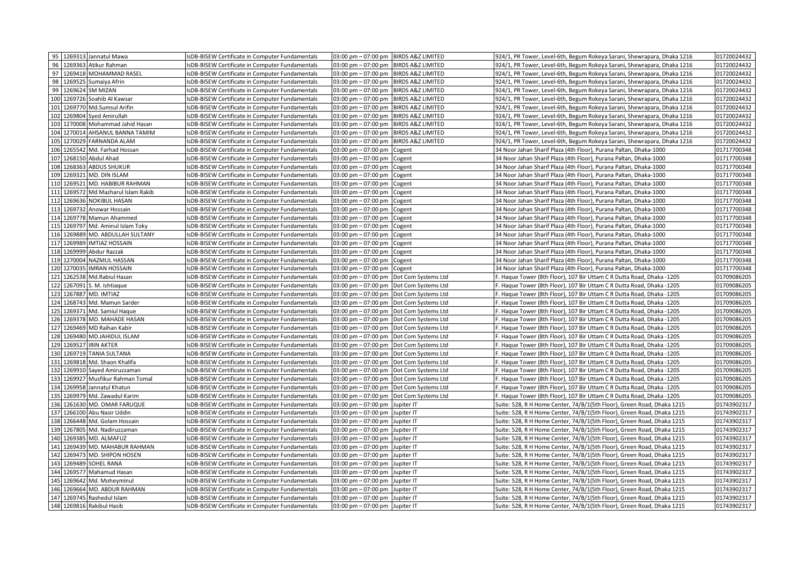|    | 95 1269313 Jannatul Mawa            | IsDB-BISEW Certificate in Computer Fundamentals | $03:00 \text{ pm} - 07:00 \text{ pm}$<br><b>BIRDS A&amp;Z LIMITED</b> | 924/1, PR Tower, Level-6th, Begum Rokeya Sarani, Shewrapara, Dhaka 1216 | 01720024432 |
|----|-------------------------------------|-------------------------------------------------|-----------------------------------------------------------------------|-------------------------------------------------------------------------|-------------|
| 96 | 1269363 Atikur Rahman               | sDB-BISEW Certificate in Computer Fundamentals  | $03:00$ pm $-07:00$ pm<br><b>BIRDS A&amp;Z LIMITED</b>                | 924/1, PR Tower, Level-6th, Begum Rokeya Sarani, Shewrapara, Dhaka 1216 | 01720024432 |
| 97 | 1269418 MOHAMMAD RASEL              | sDB-BISEW Certificate in Computer Fundamentals  | 03:00 pm - 07:00 pm BIRDS A&Z LIMITED                                 | 924/1, PR Tower, Level-6th, Begum Rokeya Sarani, Shewrapara, Dhaka 1216 | 01720024432 |
| 98 | 1269525 Sumaiya Afrin               | sDB-BISEW Certificate in Computer Fundamentals  | 03:00 pm - 07:00 pm<br><b>BIRDS A&amp;Z LIMITED</b>                   | 924/1, PR Tower, Level-6th, Begum Rokeya Sarani, Shewrapara, Dhaka 1216 | 01720024432 |
| 99 | 1269624 SM MIZAN                    | IsDB-BISEW Certificate in Computer Fundamentals | $03:00 \text{ pm} - 07:00 \text{ pm}$<br><b>BIRDS A&amp;Z LIMITED</b> | 924/1, PR Tower, Level-6th, Begum Rokeya Sarani, Shewrapara, Dhaka 1216 | 01720024432 |
|    | 100 1269726 Soahib Al Kawsar        | IsDB-BISEW Certificate in Computer Fundamentals | $03:00 \text{ pm} - 07:00 \text{ pm}$<br><b>BIRDS A&amp;Z LIMITED</b> | 924/1, PR Tower, Level-6th, Begum Rokeya Sarani, Shewrapara, Dhaka 1216 | 01720024432 |
|    | 101 1269770 Md.Sumsul Arifin        | sDB-BISEW Certificate in Computer Fundamentals  | $03:00 \text{ pm} - 07:00 \text{ pm}$<br><b>BIRDS A&amp;Z LIMITED</b> | 924/1, PR Tower, Level-6th, Begum Rokeya Sarani, Shewrapara, Dhaka 1216 | 01720024432 |
|    | 102 1269804 Syed Amirullah          | IsDB-BISEW Certificate in Computer Fundamentals | $03:00 \text{ pm} - 07:00 \text{ pm}$<br><b>BIRDS A&amp;Z LIMITED</b> | 924/1, PR Tower, Level-6th, Begum Rokeya Sarani, Shewrapara, Dhaka 1216 | 01720024432 |
|    | 103 1270008 Mohammad Jahid Hasan    | IsDB-BISEW Certificate in Computer Fundamentals | <b>BIRDS A&amp;Z LIMITED</b><br>$03:00 \text{ pm} - 07:00 \text{ pm}$ | 924/1, PR Tower, Level-6th, Begum Rokeya Sarani, Shewrapara, Dhaka 1216 | 01720024432 |
|    | 104 1270014 AHSANUL BANNA TAMIM     | IsDB-BISEW Certificate in Computer Fundamentals | 03:00 pm - 07:00 pm<br><b>BIRDS A&amp;Z LIMITED</b>                   | 924/1, PR Tower, Level-6th, Begum Rokeya Sarani, Shewrapara, Dhaka 1216 | 01720024432 |
|    | 105 1270029 FARNANDA ALAM           | IsDB-BISEW Certificate in Computer Fundamentals | 03:00 pm - 07:00 pm<br><b>BIRDS A&amp;Z LIMITED</b>                   | 924/1, PR Tower, Level-6th, Begum Rokeya Sarani, Shewrapara, Dhaka 1216 | 01720024432 |
|    | 106 1265542 Md. Farhad Hossan       | IsDB-BISEW Certificate in Computer Fundamentals | $03:00 \text{ pm} - 07:00 \text{ pm}$<br>Cogent                       | 34 Noor Jahan Sharif Plaza (4th Floor), Purana Paltan, Dhaka-1000       | 01717700348 |
|    | 107 1268150 Abdul Ahad              | IsDB-BISEW Certificate in Computer Fundamentals | $03:00 \text{ pm} - 07:00 \text{ pm}$<br>Cogent                       | 34 Noor Jahan Sharif Plaza (4th Floor), Purana Paltan, Dhaka-1000       | 01717700348 |
|    | 108 1268363 ABDUS SHUKUR            | IsDB-BISEW Certificate in Computer Fundamentals | $03:00 \text{ pm} - 07:00 \text{ pm}$<br>Cogent                       | 34 Noor Jahan Sharif Plaza (4th Floor), Purana Paltan, Dhaka-1000       | 01717700348 |
|    | 109 1269321 MD. DIN ISLAM           | sDB-BISEW Certificate in Computer Fundamentals  | 03:00 pm - 07:00 pm<br>Cogent                                         | 34 Noor Jahan Sharif Plaza (4th Floor), Purana Paltan, Dhaka-1000       | 01717700348 |
|    | 110 1269521 MD. HABIBUR RAHMAN      | IsDB-BISEW Certificate in Computer Fundamentals | $03:00 \text{ pm} - 07:00 \text{ pm}$<br>Cogent                       | 34 Noor Jahan Sharif Plaza (4th Floor), Purana Paltan, Dhaka-1000       | 01717700348 |
|    | 111 1269572 Md Mazharul Islam Rakib | sDB-BISEW Certificate in Computer Fundamentals  | 03:00 pm - 07:00 pm<br>Cogent                                         | 34 Noor Jahan Sharif Plaza (4th Floor), Purana Paltan, Dhaka-1000       | 01717700348 |
|    | 112 1269636 NOKIBUL HASAN           | IsDB-BISEW Certificate in Computer Fundamentals | $03:00 \text{ pm} - 07:00 \text{ pm}$<br>Cogent                       | 34 Noor Jahan Sharif Plaza (4th Floor), Purana Paltan, Dhaka-1000       | 01717700348 |
|    | 113 1269732 Anowar Hossain          | IsDB-BISEW Certificate in Computer Fundamentals | 03:00 pm - 07:00 pm<br>Cogent                                         | 34 Noor Jahan Sharif Plaza (4th Floor), Purana Paltan, Dhaka-1000       | 01717700348 |
|    | 114 1269778 Mamun Ahammed           | sDB-BISEW Certificate in Computer Fundamentals  | $03:00 \text{ pm} - 07:00 \text{ pm}$<br>Cogent                       | 34 Noor Jahan Sharif Plaza (4th Floor), Purana Paltan, Dhaka-1000       | 01717700348 |
|    | 115 1269797 Md. Aminul Islam Toky   | IsDB-BISEW Certificate in Computer Fundamentals | $03:00 \text{ pm} - 07:00 \text{ pm}$<br>Cogent                       | 34 Noor Jahan Sharif Plaza (4th Floor), Purana Paltan, Dhaka-1000       | 01717700348 |
|    | 116 1269889 MD. ABDULLAH SULTANY    | IsDB-BISEW Certificate in Computer Fundamentals | $03:00$ pm $-07:00$ pm<br>Cogent                                      | 34 Noor Jahan Sharif Plaza (4th Floor), Purana Paltan, Dhaka-1000       | 01717700348 |
|    | 117 1269989 IMTIAZ HOSSAIN          | IsDB-BISEW Certificate in Computer Fundamentals | 03:00 pm - 07:00 pm<br>Cogent                                         | 34 Noor Jahan Sharif Plaza (4th Floor), Purana Paltan, Dhaka-1000       | 01717700348 |
|    | 118 1269999 Abdur Razzak            | IsDB-BISEW Certificate in Computer Fundamentals | $03:00$ pm $-07:00$ pm<br>Cogent                                      | 34 Noor Jahan Sharif Plaza (4th Floor), Purana Paltan, Dhaka-1000       | 01717700348 |
|    | 119 1270004 NAZMUL HASSAN           | sDB-BISEW Certificate in Computer Fundamentals  | $03:00$ pm $-07:00$ pm<br>Cogent                                      | 34 Noor Jahan Sharif Plaza (4th Floor), Purana Paltan, Dhaka-1000       | 01717700348 |
|    | 120 1270035<br><b>IMRAN HOSSAIN</b> | sDB-BISEW Certificate in Computer Fundamentals  | $03:00 \text{ pm} - 07:00 \text{ pm}$<br>Cogent                       | 34 Noor Jahan Sharif Plaza (4th Floor), Purana Paltan, Dhaka-1000       | 01717700348 |
|    | 121 1262538 Md.Rabiul Hasan         | sDB-BISEW Certificate in Computer Fundamentals  | $03:00 \text{ pm} - 07:00 \text{ pm}$<br>Dot Com Systems Ltd          | F. Haque Tower (8th Floor), 107 Bir Uttam C R Dutta Road, Dhaka -1205   | 01709086205 |
|    | 122 1267091 S. M. Ishtiaque         | sDB-BISEW Certificate in Computer Fundamentals  | $03:00$ pm $-07:00$ pm<br>Dot Com Systems Ltd                         | F. Haque Tower (8th Floor), 107 Bir Uttam C R Dutta Road, Dhaka -1205   | 01709086205 |
|    | 123 1267887 MD. IMTIAZ              | sDB-BISEW Certificate in Computer Fundamentals  | $03:00 \text{ pm} - 07:00 \text{ pm}$<br>Dot Com Systems Ltd          | F. Haque Tower (8th Floor), 107 Bir Uttam C R Dutta Road, Dhaka -1205   | 01709086205 |
|    | 124 1268743 Md. Mamun Sarder        | sDB-BISEW Certificate in Computer Fundamentals  | $03:00 \text{ pm} - 07:00 \text{ pm}$<br>Dot Com Systems Ltd          | F. Haque Tower (8th Floor), 107 Bir Uttam C R Dutta Road, Dhaka -1205   | 01709086205 |
|    | 125 1269371 Md. Samiul Haque        | IsDB-BISEW Certificate in Computer Fundamentals | $03:00 \text{ pm} - 07:00 \text{ pm}$<br>Dot Com Systems Ltd          | F. Haque Tower (8th Floor), 107 Bir Uttam C R Dutta Road, Dhaka -1205   | 01709086205 |
|    | 126 1269378 MD. MAHADE HASAN        | IsDB-BISEW Certificate in Computer Fundamentals | 03:00 pm - 07:00 pm<br>Dot Com Systems Ltd                            | F. Haque Tower (8th Floor), 107 Bir Uttam C R Dutta Road, Dhaka -1205   | 01709086205 |
|    | 127 1269469 MD Raihan Kabir         | sDB-BISEW Certificate in Computer Fundamentals  | 03:00 pm - 07:00 pm<br>Dot Com Systems Ltd                            | F. Haque Tower (8th Floor), 107 Bir Uttam C R Dutta Road, Dhaka -1205   | 01709086205 |
|    | 128 1269480 MD.JAHIDUL ISLAM        | sDB-BISEW Certificate in Computer Fundamentals  | $03:00 \text{ pm} - 07:00 \text{ pm}$<br>Dot Com Systems Ltd          | F. Haque Tower (8th Floor), 107 Bir Uttam C R Dutta Road, Dhaka -1205   | 01709086205 |
|    | 129 1269527 IRIN AKTER              | IsDB-BISEW Certificate in Computer Fundamentals | $03:00 \text{ pm} - 07:00 \text{ pm}$<br>Dot Com Systems Ltd          | F. Haque Tower (8th Floor), 107 Bir Uttam C R Dutta Road, Dhaka -1205   | 01709086205 |
|    | 130 1269719 TANIA SULTANA           | IsDB-BISEW Certificate in Computer Fundamentals | 03:00 pm - 07:00 pm<br>Dot Com Systems Ltd                            | F. Haque Tower (8th Floor), 107 Bir Uttam C R Dutta Road, Dhaka -1205   | 01709086205 |
|    | 131 1269818 Md. Shaon Khalifa       | IsDB-BISEW Certificate in Computer Fundamentals | $03:00 \text{ pm} - 07:00 \text{ pm}$<br>Dot Com Systems Ltd          | F. Haque Tower (8th Floor), 107 Bir Uttam C R Dutta Road, Dhaka -1205   | 01709086205 |
|    | 132 1269910 Sayed Amiruzzaman       | sDB-BISEW Certificate in Computer Fundamentals  | $03:00 \text{ pm} - 07:00 \text{ pm}$<br>Dot Com Systems Ltd          | F. Haque Tower (8th Floor), 107 Bir Uttam C R Dutta Road, Dhaka -1205   | 01709086205 |
|    | 133 1269927 Musfikur Rahman Tomal   | IsDB-BISEW Certificate in Computer Fundamentals | $03:00 \text{ pm} - 07:00 \text{ pm}$<br>Dot Com Systems Ltd          | F. Haque Tower (8th Floor), 107 Bir Uttam C R Dutta Road, Dhaka -1205   | 01709086205 |
|    | 134 1269958 Jannatul Khatun         | IsDB-BISEW Certificate in Computer Fundamentals | $03:00 \text{ pm} - 07:00 \text{ pm}$<br>Dot Com Systems Ltd          | F. Haque Tower (8th Floor), 107 Bir Uttam C R Dutta Road, Dhaka -1205   | 01709086205 |
|    | 135 1269979 Md. Zawadul Karim       | IsDB-BISEW Certificate in Computer Fundamentals | 03:00 pm - 07:00 pm<br>Dot Com Systems Ltd                            | F. Haque Tower (8th Floor), 107 Bir Uttam C R Dutta Road, Dhaka -1205   | 01709086205 |
|    | 136 1261630 MD. OMAR FARUQUE        | IsDB-BISEW Certificate in Computer Fundamentals | $03:00 \text{ pm} - 07:00 \text{ pm}$<br>Jupiter IT                   | Suite: 528, R H Home Center, 74/B/1(5th Floor), Green Road, Dhaka 1215  | 01743902317 |
|    | 137 1266100 Abu Nasir Uddin         | sDB-BISEW Certificate in Computer Fundamentals  | $03:00 \text{ pm} - 07:00 \text{ pm}$<br>Jupiter IT                   | Suite: 528, R H Home Center, 74/B/1(5th Floor), Green Road, Dhaka 1215  | 01743902317 |
|    | 138 1266448 Md. Golam Hossain       | IsDB-BISEW Certificate in Computer Fundamentals | $03:00 \text{ pm} - 07:00 \text{ pm}$<br>Jupiter IT                   | Suite: 528, R H Home Center, 74/B/1(5th Floor), Green Road, Dhaka 1215  | 01743902317 |
|    | 139 1267805 Md. Nadiruzzaman        | IsDB-BISEW Certificate in Computer Fundamentals | 03:00 pm - 07:00 pm<br>Jupiter IT                                     | Suite: 528, R H Home Center, 74/B/1(5th Floor), Green Road, Dhaka 1215  | 01743902317 |
|    | 140 1269385 MD. ALMAFUZ             | sDB-BISEW Certificate in Computer Fundamentals  | 03:00 pm - 07:00 pm<br>Jupiter IT                                     | Suite: 528, R H Home Center, 74/B/1(5th Floor), Green Road, Dhaka 1215  | 01743902317 |
|    | 141 1269439 MD. MAHABUR RAHMAN      | IsDB-BISEW Certificate in Computer Fundamentals | $03:00 \text{ pm} - 07:00 \text{ pm}$<br>Jupiter IT                   | Suite: 528, R H Home Center, 74/B/1(5th Floor), Green Road, Dhaka 1215  | 01743902317 |
|    | 142 1269473 MD. SHIPON HOSEN        | IsDB-BISEW Certificate in Computer Fundamentals | $03:00 \text{ pm} - 07:00 \text{ pm}$<br>Jupiter IT                   | Suite: 528, R H Home Center, 74/B/1(5th Floor), Green Road, Dhaka 1215  | 01743902317 |
|    | 143 1269489 SOHEL RANA              | IsDB-BISEW Certificate in Computer Fundamentals | 03:00 pm - 07:00 pm<br>Jupiter IT                                     | Suite: 528, R H Home Center, 74/B/1(5th Floor), Green Road, Dhaka 1215  | 01743902317 |
|    | 144 1269577 Mahamud Hasan           | IsDB-BISEW Certificate in Computer Fundamentals | $03:00 \text{ pm} - 07:00 \text{ pm}$<br>Jupiter IT                   | Suite: 528, R H Home Center, 74/B/1(5th Floor), Green Road, Dhaka 1215  | 01743902317 |
|    | 145 1269642 Md. Moheyminul          | sDB-BISEW Certificate in Computer Fundamentals  | $03:00 \text{ pm} - 07:00 \text{ pm}$<br>Jupiter IT                   | Suite: 528, R H Home Center, 74/B/1(5th Floor), Green Road, Dhaka 1215  | 01743902317 |
|    | 146 1269664 MD. ABDUR RAHMAN        | sDB-BISEW Certificate in Computer Fundamentals  | $03:00 \text{ pm} - 07:00 \text{ pm}$<br>Jupiter IT                   | Suite: 528, R H Home Center, 74/B/1(5th Floor), Green Road, Dhaka 1215  | 01743902317 |
|    | 147 1269745 Rashedul Islam          | IsDB-BISEW Certificate in Computer Fundamentals | $03:00 \text{ pm} - 07:00 \text{ pm}$<br>Jupiter IT                   | Suite: 528, R H Home Center, 74/B/1(5th Floor), Green Road, Dhaka 1215  | 01743902317 |
|    | 148 1269816 Rakibul Hasib           | IsDB-BISEW Certificate in Computer Fundamentals | 03:00 pm - 07:00 pm<br>Jupiter IT                                     | Suite: 528, R H Home Center, 74/B/1(5th Floor), Green Road, Dhaka 1215  | 01743902317 |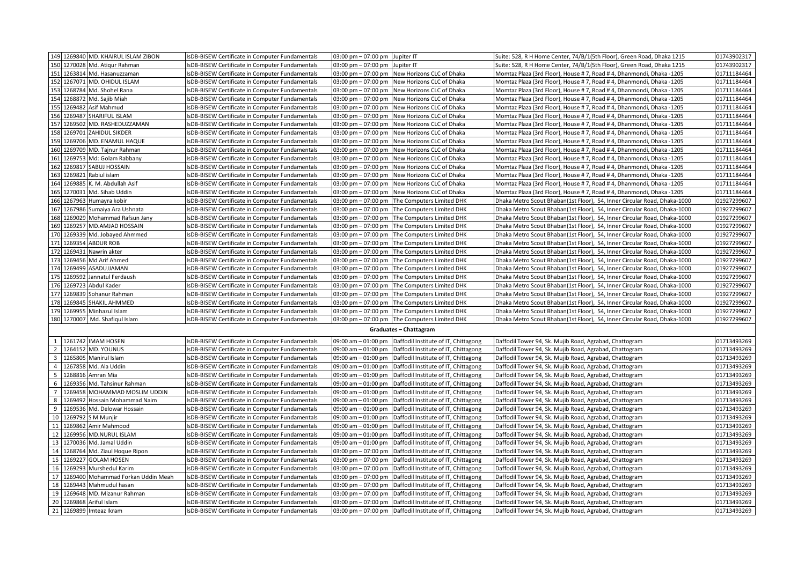|                         |             | 149 1269840 MD. KHAIRUL ISLAM ZIBON                            | sDB-BISEW Certificate in Computer Fundamentals                                                   | 03:00 pm - 07:00 pm Jupiter IT                  |                                                                              | Suite: 528, R H Home Center, 74/B/1(5th Floor), Green Road, Dhaka 1215                                           | 01743902317                |
|-------------------------|-------------|----------------------------------------------------------------|--------------------------------------------------------------------------------------------------|-------------------------------------------------|------------------------------------------------------------------------------|------------------------------------------------------------------------------------------------------------------|----------------------------|
|                         |             | 150 1270028 Md. Atiqur Rahman                                  | sDB-BISEW Certificate in Computer Fundamentals                                                   | $03:00 \text{ pm} - 07:00 \text{ pm}$           | Jupiter IT                                                                   | Suite: 528, R H Home Center, 74/B/1(5th Floor), Green Road, Dhaka 1215                                           | 01743902317                |
|                         |             | 151 1263814 Md. Hasanuzzaman                                   | sDB-BISEW Certificate in Computer Fundamentals                                                   |                                                 | 03:00 pm - 07:00 pm New Horizons CLC of Dhaka                                | Momtaz Plaza (3rd Floor), House #7, Road #4, Dhanmondi, Dhaka -1205                                              | 01711184464                |
|                         |             | 152 1267071 MD. OHIDUL ISLAM                                   | sDB-BISEW Certificate in Computer Fundamentals                                                   |                                                 | 03:00 pm - 07:00 pm New Horizons CLC of Dhaka                                | Momtaz Plaza (3rd Floor), House # 7, Road # 4, Dhanmondi, Dhaka -1205                                            | 01711184464                |
|                         |             | 153 1268784 Md. Shohel Rana                                    | sDB-BISEW Certificate in Computer Fundamentals                                                   | $03:00$ pm $-07:00$ pm                          | New Horizons CLC of Dhaka                                                    | Momtaz Plaza (3rd Floor), House #7, Road #4, Dhanmondi, Dhaka -1205                                              | 01711184464                |
|                         |             | 154 1268872 Md. Sajib Miah                                     | sDB-BISEW Certificate in Computer Fundamentals                                                   | $03:00 \text{ pm} - 07:00 \text{ pm}$           | New Horizons CLC of Dhaka                                                    | Momtaz Plaza (3rd Floor), House # 7, Road # 4, Dhanmondi, Dhaka -1205                                            | 01711184464                |
|                         |             | 155 1269482 Asif Mahmud                                        | sDB-BISEW Certificate in Computer Fundamentals                                                   |                                                 | 03:00 pm - 07:00 pm New Horizons CLC of Dhaka                                | Momtaz Plaza (3rd Floor), House #7, Road #4, Dhanmondi, Dhaka -1205                                              | 01711184464                |
|                         |             | 156 1269487 SHARIFUL ISLAM                                     | sDB-BISEW Certificate in Computer Fundamentals                                                   | 03:00 pm - 07:00 pm                             | New Horizons CLC of Dhaka                                                    | Momtaz Plaza (3rd Floor), House #7, Road #4, Dhanmondi, Dhaka -1205                                              | 01711184464                |
|                         |             | 157 1269502 MD. RASHEDUZZAMAN                                  | sDB-BISEW Certificate in Computer Fundamentals                                                   | $03:00 \text{ pm} - 07:00 \text{ pm}$           | New Horizons CLC of Dhaka                                                    | Momtaz Plaza (3rd Floor), House #7, Road #4, Dhanmondi, Dhaka -1205                                              | 01711184464                |
|                         |             | 158 1269701 ZAHIDUL SIKDER                                     | sDB-BISEW Certificate in Computer Fundamentals                                                   | $03:00 \text{ pm} - 07:00 \text{ pm}$           | New Horizons CLC of Dhaka                                                    | Momtaz Plaza (3rd Floor), House # 7, Road # 4, Dhanmondi, Dhaka -1205                                            | 01711184464                |
|                         |             | 159 1269706 MD. ENAMUL HAQUE                                   | sDB-BISEW Certificate in Computer Fundamentals                                                   |                                                 | 03:00 pm - 07:00 pm New Horizons CLC of Dhaka                                | Momtaz Plaza (3rd Floor), House #7, Road #4, Dhanmondi, Dhaka -1205                                              | 01711184464                |
|                         |             | 160 1269709 MD. Tajnur Rahman                                  | sDB-BISEW Certificate in Computer Fundamentals                                                   | 03:00 pm - 07:00 pm                             | New Horizons CLC of Dhaka                                                    | Momtaz Plaza (3rd Floor), House # 7, Road # 4, Dhanmondi, Dhaka -1205                                            | 01711184464                |
|                         |             | 161 1269753 Md: Golam Rabbany                                  | sDB-BISEW Certificate in Computer Fundamentals                                                   | $03:00 \text{ pm} - 07:00 \text{ pm}$           | New Horizons CLC of Dhaka                                                    | Momtaz Plaza (3rd Floor), House #7, Road #4, Dhanmondi, Dhaka -1205                                              | 01711184464                |
|                         |             | 162 1269817 SABUJ HOSSAIN                                      | sDB-BISEW Certificate in Computer Fundamentals                                                   | 03:00 pm - 07:00 pm                             | New Horizons CLC of Dhaka                                                    | Momtaz Plaza (3rd Floor), House # 7, Road # 4, Dhanmondi, Dhaka -1205                                            | 01711184464                |
|                         |             | 163 1269821 Rabiul islam                                       | sDB-BISEW Certificate in Computer Fundamentals                                                   |                                                 | 03:00 pm - 07:00 pm New Horizons CLC of Dhaka                                | Momtaz Plaza (3rd Floor), House #7, Road #4, Dhanmondi, Dhaka -1205                                              | 01711184464                |
|                         |             | 164 1269885 K. M. Abdullah Asif                                | sDB-BISEW Certificate in Computer Fundamentals                                                   |                                                 | 03:00 pm - 07:00 pm New Horizons CLC of Dhaka                                | Momtaz Plaza (3rd Floor), House #7, Road #4, Dhanmondi, Dhaka -1205                                              | 01711184464                |
|                         |             | 165 1270031 Md. Sihab Uddin                                    | sDB-BISEW Certificate in Computer Fundamentals                                                   | $03:00 \text{ pm} - 07:00 \text{ pm}$           | New Horizons CLC of Dhaka                                                    | Momtaz Plaza (3rd Floor), House #7, Road #4, Dhanmondi, Dhaka -1205                                              | 01711184464                |
|                         |             | 166 1267963 Humayra kobir                                      | sDB-BISEW Certificate in Computer Fundamentals                                                   | 03:00 pm – 07:00 pm                             | The Computers Limited DHK                                                    | Dhaka Metro Scout Bhaban(1st Floor), 54, Inner Circular Road, Dhaka-1000                                         | 01927299607                |
|                         |             | 167 1267986 Sumaiya Ara Ushnata                                | sDB-BISEW Certificate in Computer Fundamentals                                                   |                                                 | 03:00 pm - 07:00 pm The Computers Limited DHK                                | Dhaka Metro Scout Bhaban(1st Floor), 54, Inner Circular Road, Dhaka-1000                                         | 01927299607                |
|                         |             | 168 1269029 Mohammad Rafsun Jany                               | sDB-BISEW Certificate in Computer Fundamentals                                                   |                                                 | 03:00 pm - 07:00 pm The Computers Limited DHK                                | Dhaka Metro Scout Bhaban(1st Floor), 54, Inner Circular Road, Dhaka-1000                                         | 01927299607                |
|                         |             | 169 1269257 MD.AMJAD HOSSAIN                                   | sDB-BISEW Certificate in Computer Fundamentals                                                   | $03:00 \text{ pm} - 07:00 \text{ pm}$           | The Computers Limited DHK                                                    | Dhaka Metro Scout Bhaban(1st Floor), 54, Inner Circular Road, Dhaka-1000                                         | 01927299607                |
|                         |             | 170 1269339 Md. Jobayed Ahmmed                                 | sDB-BISEW Certificate in Computer Fundamentals                                                   |                                                 | 03:00 pm - 07:00 pm The Computers Limited DHK                                | Dhaka Metro Scout Bhaban(1st Floor), 54, Inner Circular Road, Dhaka-1000                                         | 01927299607                |
|                         |             | 171 1269354 ABDUR ROB                                          | sDB-BISEW Certificate in Computer Fundamentals                                                   |                                                 | 03:00 pm - 07:00 pm The Computers Limited DHK                                | Dhaka Metro Scout Bhaban(1st Floor), 54, Inner Circular Road, Dhaka-1000                                         | 01927299607                |
|                         | 172 1269431 | Nawrin akter                                                   | sDB-BISEW Certificate in Computer Fundamentals                                                   | $03:00 \text{ pm} - 07:00 \text{ pm}$           | The Computers Limited DHK                                                    | Dhaka Metro Scout Bhaban(1st Floor), 54, Inner Circular Road, Dhaka-1000                                         | 01927299607                |
|                         |             | 173 1269456 Md Arif Ahmed                                      | sDB-BISEW Certificate in Computer Fundamentals                                                   | $03:00 \text{ pm} - 07:00 \text{ pm}$           | The Computers Limited DHK                                                    | Dhaka Metro Scout Bhaban(1st Floor), 54, Inner Circular Road, Dhaka-1000                                         | 01927299607                |
|                         |             | 174 1269499 ASADUJJAMAN                                        | sDB-BISEW Certificate in Computer Fundamentals                                                   |                                                 | 03:00 pm - 07:00 pm The Computers Limited DHK                                | Dhaka Metro Scout Bhaban(1st Floor), 54, Inner Circular Road, Dhaka-1000                                         | 01927299607                |
|                         |             | 175 1269592 Jannatul Ferdaush                                  | sDB-BISEW Certificate in Computer Fundamentals                                                   |                                                 | 03:00 pm - 07:00 pm The Computers Limited DHK                                | Dhaka Metro Scout Bhaban(1st Floor), 54, Inner Circular Road, Dhaka-1000                                         | 01927299607                |
|                         |             | 176 1269723 Abdul Kader                                        | sDB-BISEW Certificate in Computer Fundamentals                                                   |                                                 | 03:00 pm - 07:00 pm The Computers Limited DHK                                | Dhaka Metro Scout Bhaban(1st Floor), 54, Inner Circular Road, Dhaka-1000                                         | 01927299607                |
|                         |             | 177 1269839 Sohanur Rahman                                     | sDB-BISEW Certificate in Computer Fundamentals                                                   | $03:00 \text{ pm} - 07:00 \text{ pm}$           | The Computers Limited DHK                                                    | Dhaka Metro Scout Bhaban(1st Floor), 54, Inner Circular Road, Dhaka-1000                                         | 01927299607                |
|                         |             | 178 1269845 SHAKIL AHMMED                                      | sDB-BISEW Certificate in Computer Fundamentals                                                   |                                                 | 03:00 pm - 07:00 pm The Computers Limited DHK                                | Dhaka Metro Scout Bhaban(1st Floor), 54, Inner Circular Road, Dhaka-1000                                         | 01927299607                |
|                         |             | 179 1269955 Minhazul Islam                                     | sDB-BISEW Certificate in Computer Fundamentals                                                   |                                                 | 03:00 pm - 07:00 pm The Computers Limited DHK                                | Dhaka Metro Scout Bhaban(1st Floor), 54, Inner Circular Road, Dhaka-1000                                         | 01927299607                |
|                         |             | 180 1270007 Md. Shafiqul Islam                                 | sDB-BISEW Certificate in Computer Fundamentals                                                   |                                                 | 03:00 pm - 07:00 pm The Computers Limited DHK                                | Dhaka Metro Scout Bhaban(1st Floor), 54, Inner Circular Road, Dhaka-1000                                         | 01927299607                |
|                         |             |                                                                |                                                                                                  |                                                 | Graduates - Chattagram                                                       |                                                                                                                  |                            |
|                         |             |                                                                |                                                                                                  |                                                 |                                                                              |                                                                                                                  |                            |
|                         |             | 1 1261742 IMAM HOSEN                                           | IsDB-BISEW Certificate in Computer Fundamentals                                                  | 09:00 am - 01:00 pm                             | Daffodil Institute of IT, Chittagong                                         | Daffodil Tower 94, Sk. Mujib Road, Agrabad, Chattogram                                                           | 01713493269                |
| 2                       |             | 1264152 MD. YOUNUS                                             | sDB-BISEW Certificate in Computer Fundamentals                                                   | 09:00 am - 01:00 pm                             | Daffodil Institute of IT, Chittagong                                         | Daffodil Tower 94, Sk. Mujib Road, Agrabad, Chattogram                                                           | 01713493269                |
| $\overline{\mathbf{3}}$ |             | 1265805 Manirul Islam                                          | sDB-BISEW Certificate in Computer Fundamentals                                                   | 09:00 am - 01:00 pm                             | Daffodil Institute of IT, Chittagong                                         | Daffodil Tower 94, Sk. Mujib Road, Agrabad, Chattogram                                                           | 01713493269                |
| $\overline{4}$<br>5     |             | 1267858 Md. Ala Uddin                                          | sDB-BISEW Certificate in Computer Fundamentals                                                   | 09:00 am - 01:00 pm                             | Daffodil Institute of IT, Chittagong                                         | Daffodil Tower 94, Sk. Mujib Road, Agrabad, Chattogram                                                           | 01713493269                |
|                         |             | 1268816 Amran Mia                                              | sDB-BISEW Certificate in Computer Fundamentals                                                   | 09:00 am - 01:00 pm                             | Daffodil Institute of IT, Chittagong                                         | Daffodil Tower 94, Sk. Mujib Road, Agrabad, Chattogram                                                           | 01713493269                |
| 6                       |             | 1269356 Md. Tahsinur Rahman                                    | sDB-BISEW Certificate in Computer Fundamentals                                                   | 09:00 am - 01:00 pm                             | Daffodil Institute of IT, Chittagong                                         | Daffodil Tower 94, Sk. Mujib Road, Agrabad, Chattogram                                                           | 01713493269                |
| 7<br>8                  |             | 1269458 MOHAMMAD MOSLIM UDDIN<br>1269492 Hossain Mohammad Naim | sDB-BISEW Certificate in Computer Fundamentals<br>sDB-BISEW Certificate in Computer Fundamentals | 09:00 am - 01:00 pm<br>09:00 am - 01:00 pm      | Daffodil Institute of IT, Chittagong<br>Daffodil Institute of IT, Chittagong | Daffodil Tower 94, Sk. Mujib Road, Agrabad, Chattogram<br>Daffodil Tower 94, Sk. Mujib Road, Agrabad, Chattogram | 01713493269<br>01713493269 |
| 9                       |             | 1269536 Md. Delowar Hossain                                    |                                                                                                  |                                                 |                                                                              |                                                                                                                  | 01713493269                |
| 10                      |             | 1269792 S M Munjir                                             | sDB-BISEW Certificate in Computer Fundamentals                                                   | 09:00 am - 01:00 pm                             | Daffodil Institute of IT, Chittagong                                         | Daffodil Tower 94, Sk. Mujib Road, Agrabad, Chattogram                                                           |                            |
|                         |             | 11 1269862 Amir Mahmood                                        | sDB-BISEW Certificate in Computer Fundamentals                                                   | 09:00 am - 01:00 pm<br>09:00 am - 01:00 pm      | Daffodil Institute of IT, Chittagong                                         | Daffodil Tower 94, Sk. Mujib Road, Agrabad, Chattogram                                                           | 01713493269<br>01713493269 |
| 12                      |             | 1269956 MD.NURUL ISLAM                                         | sDB-BISEW Certificate in Computer Fundamentals                                                   |                                                 | Daffodil Institute of IT, Chittagong                                         | Daffodil Tower 94, Sk. Mujib Road, Agrabad, Chattogram                                                           | 01713493269                |
|                         |             | 13 1270036 Md. Jamal Uddin                                     | sDB-BISEW Certificate in Computer Fundamentals<br>sDB-BISEW Certificate in Computer Fundamentals | $09:00$ am $-01:00$ pm<br>09:00 am $-$ 01:00 pm | Daffodil Institute of IT, Chittagong<br>Daffodil Institute of IT, Chittagong | Daffodil Tower 94, Sk. Mujib Road, Agrabad, Chattogram<br>Daffodil Tower 94, Sk. Mujib Road, Agrabad, Chattogram | 01713493269                |
|                         |             | 14 1268764 Md. Ziaul Hoque Ripon                               | sDB-BISEW Certificate in Computer Fundamentals                                                   | $03:00 \text{ pm} - 07:00 \text{ pm}$           | Daffodil Institute of IT, Chittagong                                         | Daffodil Tower 94, Sk. Mujib Road, Agrabad, Chattogram                                                           | 01713493269                |
|                         |             | 15 1269227 GOLAM HOSEN                                         | sDB-BISEW Certificate in Computer Fundamentals                                                   |                                                 | 03:00 pm - 07:00 pm   Daffodil Institute of IT, Chittagong                   | Daffodil Tower 94, Sk. Mujib Road, Agrabad, Chattogram                                                           | 01713493269                |
|                         | 16 1269293  | Murshedul Karim                                                | sDB-BISEW Certificate in Computer Fundamentals                                                   | $03:00 \text{ pm} - 07:00 \text{ pm}$           | Daffodil Institute of IT, Chittagong                                         | Daffodil Tower 94, Sk. Mujib Road, Agrabad, Chattogram                                                           | 01713493269                |
|                         |             | 17 1269400 Mohammad Forkan Uddin Meah                          | IsDB-BISEW Certificate in Computer Fundamentals                                                  | $03:00 \text{ pm} - 07:00 \text{ pm}$           | Daffodil Institute of IT, Chittagong                                         | Daffodil Tower 94, Sk. Mujib Road, Agrabad, Chattogram                                                           | 01713493269                |
| 18                      |             | 1269443 Mahmudul hasan                                         | sDB-BISEW Certificate in Computer Fundamentals                                                   |                                                 | 03:00 pm - 07:00 pm   Daffodil Institute of IT, Chittagong                   | Daffodil Tower 94, Sk. Mujib Road, Agrabad, Chattogram                                                           | 01713493269                |
|                         |             | 19 1269648 MD. Mizanur Rahman                                  | sDB-BISEW Certificate in Computer Fundamentals                                                   |                                                 | 03:00 pm - 07:00 pm   Daffodil Institute of IT, Chittagong                   | Daffodil Tower 94, Sk. Mujib Road, Agrabad, Chattogram                                                           | 01713493269                |
|                         |             | 20 1269868 Ariful Islam                                        | sDB-BISEW Certificate in Computer Fundamentals                                                   |                                                 | 03:00 pm - 07:00 pm Daffodil Institute of IT, Chittagong                     | Daffodil Tower 94, Sk. Mujib Road, Agrabad, Chattogram                                                           | 01713493269                |
|                         |             | 21 1269899 Imteaz Ikram                                        | IsDB-BISEW Certificate in Computer Fundamentals                                                  |                                                 | 03:00 pm - 07:00 pm Daffodil Institute of IT, Chittagong                     | Daffodil Tower 94, Sk. Mujib Road, Agrabad, Chattogram                                                           | 01713493269                |
|                         |             |                                                                |                                                                                                  |                                                 |                                                                              |                                                                                                                  |                            |